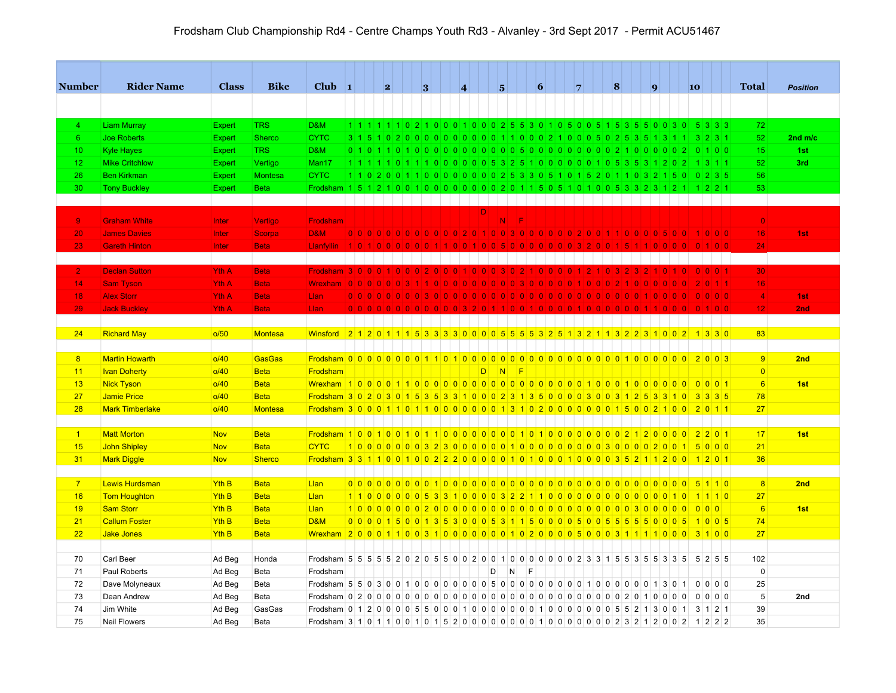| <b>Number</b>   | <b>Rider Name</b>                          | <b>Class</b>     | <b>Bike</b>                   | $Club$ 1                                                                                                    |     | 2 |  | 3 |                                                             | $\vert 4 \vert$ |    |   | 5           |           | 6 |                                                                                                                                                                        | $\overline{7}$ | $\vert 8 \vert$ |  | $\overline{q}$ |     |      | 10 |          |                            | <b>Total</b>    | <b>Position</b> |
|-----------------|--------------------------------------------|------------------|-------------------------------|-------------------------------------------------------------------------------------------------------------|-----|---|--|---|-------------------------------------------------------------|-----------------|----|---|-------------|-----------|---|------------------------------------------------------------------------------------------------------------------------------------------------------------------------|----------------|-----------------|--|----------------|-----|------|----|----------|----------------------------|-----------------|-----------------|
|                 |                                            |                  |                               |                                                                                                             |     |   |  |   |                                                             |                 |    |   |             |           |   |                                                                                                                                                                        |                |                 |  |                |     |      |    |          |                            |                 |                 |
| $\overline{4}$  | <b>Liam Murray</b>                         | <b>Expert</b>    | <b>TRS</b>                    | D&M                                                                                                         |     |   |  |   |                                                             |                 |    |   |             |           |   | 1 1 1 1 1 1 0 2 1 0 0 0 1 0 0 0 2 5 6 3 0 1 0 5 0 0 5 1 5 3 5 6 0 0 3 0 - 5 3 3 3                                                                                      |                |                 |  |                |     |      |    |          |                            | 72              |                 |
| $6^{\circ}$     | <b>Joe Roberts</b>                         | Expert           | <b>Sherco</b>                 | <b>CYTC</b>                                                                                                 |     |   |  |   |                                                             |                 |    |   |             |           |   | 3 1 5 1 0 2 0 0 0 0 0 0 0 0 0 0 1 1 0 0 0 2 1 0 0 0 5 0 2 5 3 5 1 3 1 1 3 2 3 1                                                                                        |                |                 |  |                |     |      |    |          |                            | 52              | $2nd$ m/c       |
| 10 <sub>1</sub> |                                            |                  | <b>TRS</b>                    | D&M                                                                                                         |     |   |  |   |                                                             |                 |    |   |             |           |   |                                                                                                                                                                        |                |                 |  |                |     |      |    | $\Omega$ | 100                        | 15              |                 |
| 12 <sub>2</sub> | <b>Kyle Hayes</b><br><b>Mike Critchlow</b> | Expert           |                               | Man17                                                                                                       |     |   |  |   |                                                             |                 |    |   |             |           |   | 1 1 1 1 1 0 1 1 1 0 0 0 0 0 0 5 3 2 5 1 0 0 0 0 0 0 1 0 5 3 5 3 1 2 0 2                                                                                                |                |                 |  |                |     |      |    |          | $1 \ 3 \ 1 \ 1$            | 52              | 1st<br>3rd      |
|                 |                                            | Expert           | Vertigo                       |                                                                                                             |     |   |  |   |                                                             |                 |    |   |             |           |   |                                                                                                                                                                        |                |                 |  |                |     |      |    |          |                            | 56              |                 |
| 26<br>30        | <b>Ben Kirkman</b><br><b>Tony Buckley</b>  | Expert<br>Expert | <b>Montesa</b><br><b>Beta</b> | <b>CYTC</b><br>Frodsham                                                                                     |     |   |  |   |                                                             |                 |    |   |             |           |   | 1 1 0 2 0 0 1 1 0 0 0 0 0 0 0 0 0 2 5 3 3 0 5 1 0 1 5 2 0 1 1 0 3 2 1 5 0 0 2 3 5<br>1 5 1 2 1 0 0 1 0 0 0 0 0 0 0 0 0 2 0 1 1 5 0 5 1 0 1 0 0 5 3 3 2 3 1 2 1 1 2 2 1 |                |                 |  |                |     |      |    |          |                            | 53              |                 |
|                 |                                            |                  |                               |                                                                                                             |     |   |  |   |                                                             |                 |    |   |             |           |   |                                                                                                                                                                        |                |                 |  |                |     |      |    |          |                            |                 |                 |
|                 |                                            |                  |                               |                                                                                                             |     |   |  |   |                                                             |                 | DI |   |             |           |   |                                                                                                                                                                        |                |                 |  |                |     |      |    |          |                            |                 |                 |
| 9 <sub>1</sub>  | <b>Graham White</b>                        | Inter            | Vertigo                       | <b>Frodsham</b>                                                                                             |     |   |  |   |                                                             |                 |    |   | $N_{\perp}$ | -lF       |   |                                                                                                                                                                        |                |                 |  |                |     |      |    |          |                            | $\overline{0}$  |                 |
| 20              | <b>James Davies</b>                        | Inter            | Scorpa                        | <b>D&amp;M</b>                                                                                              |     |   |  |   |                                                             |                 |    |   |             |           |   | 0 0 0 0 0 0 0 0 0 0 0 0 0 2 0 1 0 0 3 0 0 0 0 0 0 0 2 0 0 1 1 0 0 0 0 5 0 0                                                                                            |                |                 |  |                |     |      |    |          | 1 0 0 0                    | 16 <sup>1</sup> | 1st             |
| 23              | <b>Gareth Hinton</b>                       | <b>Inter</b>     | <b>Beta</b>                   |                                                                                                             |     |   |  |   |                                                             |                 |    |   |             |           |   |                                                                                                                                                                        |                |                 |  |                |     |      |    |          |                            | 24              |                 |
|                 |                                            |                  |                               |                                                                                                             |     |   |  |   |                                                             |                 |    |   |             |           |   |                                                                                                                                                                        |                |                 |  |                |     |      |    |          |                            |                 |                 |
| 2 <sub>1</sub>  | <b>Declan Sutton</b>                       | <b>Yth A</b>     | <b>Beta</b>                   | Frodsham 3 0 0 0 1 0 0 0 2 0 0 0 1                                                                          |     |   |  |   |                                                             |                 |    |   | 0 0 0 3 0 2 |           |   | 110101010                                                                                                                                                              |                |                 |  |                | ി വ |      |    |          | 0 0 0 1                    | 30              |                 |
| 14              | <b>Sam Tyson</b>                           | Yth A            | <b>Beta</b>                   | $W$ rexham   0   0   0   0   0   0   3                                                                      |     |   |  |   | $\overline{0}$ $\overline{0}$ $\overline{0}$ $\overline{0}$ |                 |    |   |             |           |   | 00300000                                                                                                                                                               |                |                 |  |                |     |      |    |          | 2 0 1 1                    | 16              |                 |
| 18              | <b>Alex Storr</b>                          | <b>Yth A</b>     | <b>Beta</b>                   | Llan                                                                                                        |     |   |  |   |                                                             |                 |    |   |             |           |   | 0000000000                                                                                                                                                             |                |                 |  |                |     |      |    |          | $\mid$ 0 $\mid$ 0 $\mid$ 0 | $\overline{4}$  | 1st             |
| 29              | <b>Jack Buckley</b>                        | Yth A            | <b>Beta</b>                   | Llan                                                                                                        | 0 0 |   |  |   |                                                             |                 |    |   |             |           |   |                                                                                                                                                                        |                |                 |  |                |     |      |    |          |                            | 12              | 2nd             |
|                 |                                            |                  |                               |                                                                                                             |     |   |  |   |                                                             |                 |    |   |             |           |   |                                                                                                                                                                        |                |                 |  |                |     |      |    |          |                            |                 |                 |
| 24              | <b>Richard May</b>                         | o/50             | Montesa                       | <u>Winsford 21201115333300005555325132513211322310021330</u>                                                |     |   |  |   |                                                             |                 |    |   |             |           |   |                                                                                                                                                                        |                |                 |  |                |     |      |    |          |                            | 83              |                 |
|                 |                                            |                  |                               |                                                                                                             |     |   |  |   |                                                             |                 |    |   |             |           |   |                                                                                                                                                                        |                |                 |  |                |     |      |    |          |                            |                 |                 |
| 8               | <b>Martin Howarth</b>                      | o/40             | <b>GasGas</b>                 |                                                                                                             |     |   |  |   |                                                             |                 |    |   |             |           |   |                                                                                                                                                                        |                |                 |  |                |     |      |    |          |                            | 9               | 2nd             |
| 11              | <b>Ivan Doherty</b>                        | o/40             | <b>Beta</b>                   | Frodsham                                                                                                    |     |   |  |   |                                                             |                 | D. |   | N           | <b>IF</b> |   |                                                                                                                                                                        |                |                 |  |                |     |      |    |          |                            | $\overline{0}$  |                 |
| 13              | <b>Nick Tyson</b>                          | o/40             | <b>Beta</b>                   |                                                                                                             |     |   |  |   |                                                             |                 |    |   |             |           |   |                                                                                                                                                                        |                |                 |  |                |     |      |    |          |                            | 6               | 1st             |
| 27              | <b>Jamie Price</b>                         | O/40             | <b>Beta</b>                   | Frodsham 3 0 2 0 3 0 1 5 3 5 3 3 1 0 0 0 2 3 1 3 5 0 0 0 0 3 0 0 3 1 2 5 3 3 1 0                            |     |   |  |   |                                                             |                 |    |   |             |           |   |                                                                                                                                                                        |                |                 |  |                |     |      |    |          | 3335                       | 78              |                 |
| 28              | <b>Mark Timberlake</b>                     | o/40             | <b>Montesa</b>                | <u>Frodsham 30001101100000000131020000000015002100201</u>                                                   |     |   |  |   |                                                             |                 |    |   |             |           |   |                                                                                                                                                                        |                |                 |  |                |     |      |    |          |                            | 27              |                 |
|                 |                                            |                  |                               |                                                                                                             |     |   |  |   |                                                             |                 |    |   |             |           |   |                                                                                                                                                                        |                |                 |  |                |     |      |    |          |                            |                 |                 |
| $\vert$ 1       | <b>Matt Morton</b>                         | <b>Nov</b>       | <b>Beta</b>                   | Frodsham 100100101011011000000001010100000000021200002201                                                   |     |   |  |   |                                                             |                 |    |   |             |           |   |                                                                                                                                                                        |                |                 |  |                |     |      |    |          |                            | 17              | 1st             |
| 15              | <b>John Shipley</b>                        | Nov              | <b>Beta</b>                   | <b>CYTC</b>                                                                                                 |     |   |  |   |                                                             |                 |    |   |             |           |   |                                                                                                                                                                        |                |                 |  |                |     |      |    |          |                            | 21              |                 |
| 31              | <b>Mark Diggle</b>                         | <b>Nov</b>       | <b>Sherco</b>                 | <u>Frodsham 3 3 1 1 0 0 1 0 0 2 2 2 0 0 0 0 0 1 0 1 0 0 0 1 0 0 0 1 0 0 0 3 5 2 1 1 2 0 0 1 2 0 1 2 0 1</u> |     |   |  |   |                                                             |                 |    |   |             |           |   |                                                                                                                                                                        |                |                 |  |                |     |      |    |          |                            | 36              |                 |
|                 |                                            |                  |                               |                                                                                                             |     |   |  |   |                                                             |                 |    |   |             |           |   |                                                                                                                                                                        |                |                 |  |                |     |      |    |          |                            |                 |                 |
| $\overline{7}$  | <b>Lewis Hurdsman</b>                      | Yth <sub>B</sub> | <b>Beta</b>                   | Llan                                                                                                        |     |   |  |   |                                                             |                 |    |   |             |           |   |                                                                                                                                                                        |                |                 |  |                |     |      |    |          | 5110                       | 8               | 2nd             |
| 16              | <b>Tom Houghton</b>                        | Yth <sub>B</sub> | <b>Beta</b>                   | Llan                                                                                                        |     |   |  |   |                                                             |                 |    |   |             |           |   | 1 1 0 0 0 0 0 0 5 3 3 1 0 0 0 0 3 2 2 1 1 0 0 0 0 0 0 0 0 0 0 0 0 0 0 0 1 0                                                                                            |                |                 |  |                |     |      |    |          | 11110                      | 27              |                 |
| 19              | <b>Sam Storr</b>                           | Yth <sub>B</sub> | <b>Beta</b>                   | Llan                                                                                                        |     |   |  |   |                                                             |                 |    |   |             |           |   |                                                                                                                                                                        |                |                 |  |                |     |      |    |          |                            | 6               | 1st             |
| 21              | <b>Callum Foster</b>                       | Yth <sub>B</sub> | <b>Beta</b>                   | <b>D&amp;M</b>                                                                                              |     |   |  |   |                                                             |                 |    |   |             |           |   | 0 0 0 1 5 0 0 1 3 5 3 0 0 0 5 3 1 1 5 0 0 0 0 5 0 0 5 5 5 5 6 0 0 0 5                                                                                                  |                |                 |  |                |     |      |    |          | 1005                       | 74              |                 |
| 22              | <b>Jake Jones</b>                          | Yth <sub>B</sub> | <b>Beta</b>                   | <u>Wrexham 20001100310000000010200000000031111000 3100</u>                                                  |     |   |  |   |                                                             |                 |    |   |             |           |   |                                                                                                                                                                        |                |                 |  |                |     |      |    |          |                            | 27              |                 |
|                 |                                            |                  |                               |                                                                                                             |     |   |  |   |                                                             |                 |    |   |             |           |   |                                                                                                                                                                        |                |                 |  |                |     |      |    |          |                            |                 |                 |
| 70              | Carl Beer                                  | Ad Beg           | Honda                         | Frodsham 5 5 5 5 6 7 8 9 2 0 5 5 6 0 0 2 0 0 1 0 0 0 0 0 0 0 0 2 3 3 1 5 5 3 5 5 3 3 5 5 6 2 5 5            |     |   |  |   |                                                             |                 |    |   |             |           |   |                                                                                                                                                                        |                |                 |  |                |     |      |    |          |                            | 102             |                 |
| 71              | Paul Roberts                               | Ad Beg           | Beta                          | Frodsham                                                                                                    |     |   |  |   |                                                             |                 |    | D | N           |           | E |                                                                                                                                                                        |                |                 |  |                |     |      |    |          |                            | $\mathbf 0$     |                 |
| 72              | Dave Molyneaux                             | Ad Beg           | Beta                          |                                                                                                             |     |   |  |   |                                                             |                 |    |   |             |           |   |                                                                                                                                                                        |                |                 |  |                |     | 1301 |    |          | $0$ 0 0 0                  | 25              |                 |
| 73              | Dean Andrew                                | Ad Beg           | Beta                          |                                                                                                             |     |   |  |   |                                                             |                 |    |   |             |           |   |                                                                                                                                                                        |                |                 |  |                |     |      |    |          | $0 0 0 0$                  | $\sqrt{5}$      | 2nd             |
| 74              | Jim White                                  | Ad Beg           | GasGas                        |                                                                                                             |     |   |  |   |                                                             |                 |    |   |             |           |   |                                                                                                                                                                        |                |                 |  |                |     |      |    |          |                            | 39              |                 |
| 75              | <b>Neil Flowers</b>                        | Ad Beg           | Beta                          | Frodsham 3 1 0 1 1 0 0 1 0 1 5 2 0 0 0 0 0 0 0 0 0 1 0 0 0 0 0 0 0 0 2 3 2 1 2 0 0 2 1 2 2 2                |     |   |  |   |                                                             |                 |    |   |             |           |   |                                                                                                                                                                        |                |                 |  |                |     |      |    |          |                            | 35              |                 |
|                 |                                            |                  |                               |                                                                                                             |     |   |  |   |                                                             |                 |    |   |             |           |   |                                                                                                                                                                        |                |                 |  |                |     |      |    |          |                            |                 |                 |